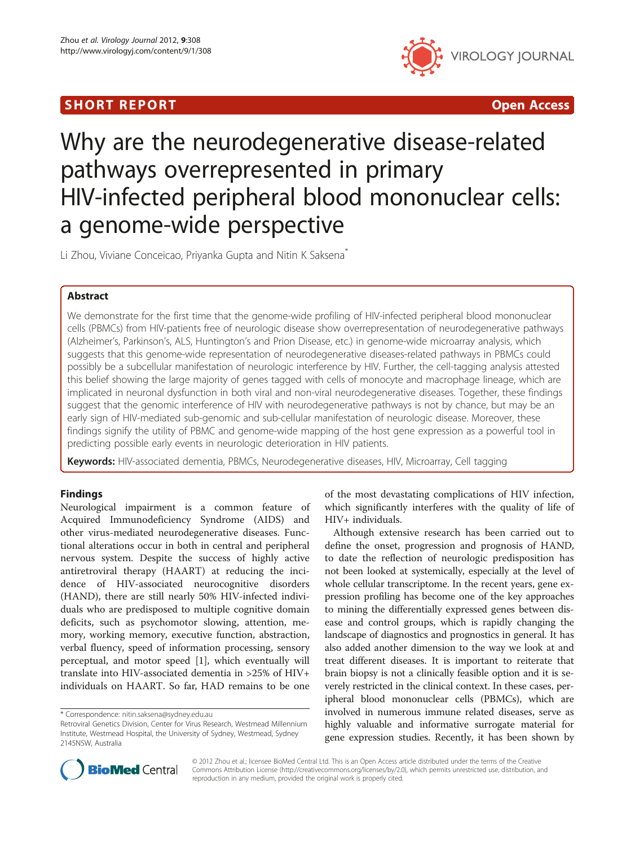## SHORT REPORT **The Contract of the Contract Open Access** (SHORT **Contract of the Contract Open Access**



# Why are the neurodegenerative disease-related pathways overrepresented in primary HIV-infected peripheral blood mononuclear cells: a genome-wide perspective

Li Zhou, Viviane Conceicao, Priyanka Gupta and Nitin K Saksena<sup>\*</sup>

## Abstract

We demonstrate for the first time that the genome-wide profiling of HIV-infected peripheral blood mononuclear cells (PBMCs) from HIV-patients free of neurologic disease show overrepresentation of neurodegenerative pathways (Alzheimer's, Parkinson's, ALS, Huntington's and Prion Disease, etc.) in genome-wide microarray analysis, which suggests that this genome-wide representation of neurodegenerative diseases-related pathways in PBMCs could possibly be a subcellular manifestation of neurologic interference by HIV. Further, the cell-tagging analysis attested this belief showing the large majority of genes tagged with cells of monocyte and macrophage lineage, which are implicated in neuronal dysfunction in both viral and non-viral neurodegenerative diseases. Together, these findings suggest that the genomic interference of HIV with neurodegenerative pathways is not by chance, but may be an early sign of HIV-mediated sub-genomic and sub-cellular manifestation of neurologic disease. Moreover, these findings signify the utility of PBMC and genome-wide mapping of the host gene expression as a powerful tool in predicting possible early events in neurologic deterioration in HIV patients.

Keywords: HIV-associated dementia, PBMCs, Neurodegenerative diseases, HIV, Microarray, Cell tagging

## Findings

Neurological impairment is a common feature of Acquired Immunodeficiency Syndrome (AIDS) and other virus-mediated neurodegenerative diseases. Functional alterations occur in both in central and peripheral nervous system. Despite the success of highly active antiretroviral therapy (HAART) at reducing the incidence of HIV-associated neurocognitive disorders (HAND), there are still nearly 50% HIV-infected individuals who are predisposed to multiple cognitive domain deficits, such as psychomotor slowing, attention, memory, working memory, executive function, abstraction, verbal fluency, speed of information processing, sensory perceptual, and motor speed [\[1](#page-6-0)], which eventually will translate into HIV-associated dementia in >25% of HIV+ individuals on HAART. So far, HAD remains to be one

of the most devastating complications of HIV infection, which significantly interferes with the quality of life of HIV+ individuals.

Although extensive research has been carried out to define the onset, progression and prognosis of HAND, to date the reflection of neurologic predisposition has not been looked at systemically, especially at the level of whole cellular transcriptome. In the recent years, gene expression profiling has become one of the key approaches to mining the differentially expressed genes between disease and control groups, which is rapidly changing the landscape of diagnostics and prognostics in general. It has also added another dimension to the way we look at and treat different diseases. It is important to reiterate that brain biopsy is not a clinically feasible option and it is severely restricted in the clinical context. In these cases, peripheral blood mononuclear cells (PBMCs), which are involved in numerous immune related diseases, serve as highly valuable and informative surrogate material for gene expression studies. Recently, it has been shown by



© 2012 Zhou et al.; licensee BioMed Central Ltd. This is an Open Access article distributed under the terms of the Creative Commons Attribution License [\(http://creativecommons.org/licenses/by/2.0\)](http://creativecommons.org/licenses/by/2.0), which permits unrestricted use, distribution, and reproduction in any medium, provided the original work is properly cited.

<sup>\*</sup> Correspondence: [nitin.saksena@sydney.edu.au](mailto:nitin.saksena@sydney.edu.au)

Retroviral Genetics Division, Center for Virus Research, Westmead Millennium Institute, Westmead Hospital, the University of Sydney, Westmead, Sydney 2145NSW, Australia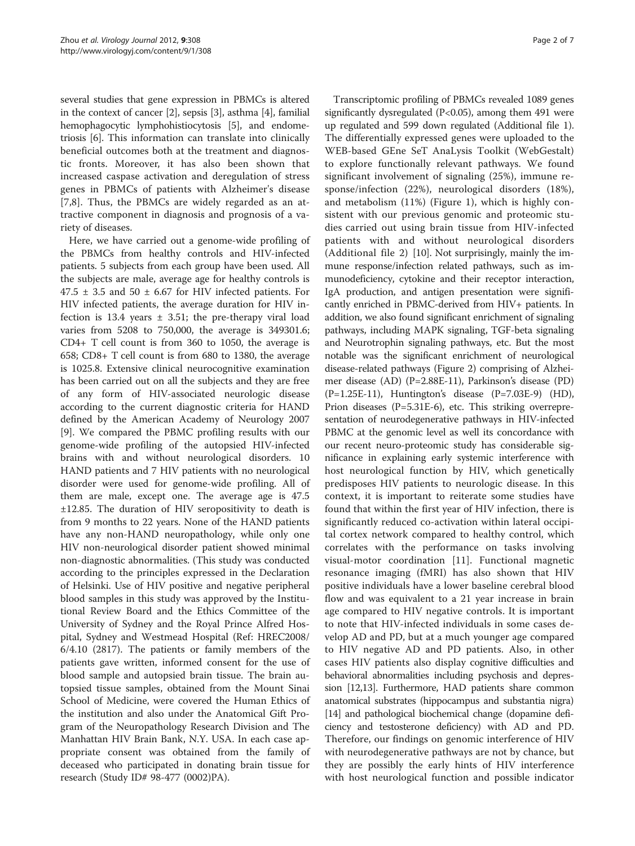several studies that gene expression in PBMCs is altered in the context of cancer [[2\]](#page-6-0), sepsis [[3](#page-6-0)], asthma [\[4](#page-6-0)], familial hemophagocytic lymphohistiocytosis [\[5\]](#page-6-0), and endometriosis [\[6](#page-6-0)]. This information can translate into clinically beneficial outcomes both at the treatment and diagnostic fronts. Moreover, it has also been shown that increased caspase activation and deregulation of stress genes in PBMCs of patients with Alzheimer's disease [[7,8](#page-6-0)]. Thus, the PBMCs are widely regarded as an attractive component in diagnosis and prognosis of a variety of diseases.

Here, we have carried out a genome-wide profiling of the PBMCs from healthy controls and HIV-infected patients. 5 subjects from each group have been used. All the subjects are male, average age for healthy controls is  $47.5 \pm 3.5$  and  $50 \pm 6.67$  for HIV infected patients. For HIV infected patients, the average duration for HIV infection is 13.4 years  $\pm$  3.51; the pre-therapy viral load varies from 5208 to 750,000, the average is 349301.6; CD4+ T cell count is from 360 to 1050, the average is 658; CD8+ T cell count is from 680 to 1380, the average is 1025.8. Extensive clinical neurocognitive examination has been carried out on all the subjects and they are free of any form of HIV-associated neurologic disease according to the current diagnostic criteria for HAND defined by the American Academy of Neurology 2007 [[9\]](#page-6-0). We compared the PBMC profiling results with our genome-wide profiling of the autopsied HIV-infected brains with and without neurological disorders. 10 HAND patients and 7 HIV patients with no neurological disorder were used for genome-wide profiling. All of them are male, except one. The average age is 47.5 ±12.85. The duration of HIV seropositivity to death is from 9 months to 22 years. None of the HAND patients have any non-HAND neuropathology, while only one HIV non-neurological disorder patient showed minimal non-diagnostic abnormalities. (This study was conducted according to the principles expressed in the Declaration of Helsinki. Use of HIV positive and negative peripheral blood samples in this study was approved by the Institutional Review Board and the Ethics Committee of the University of Sydney and the Royal Prince Alfred Hospital, Sydney and Westmead Hospital (Ref: HREC2008/ 6/4.10 (2817). The patients or family members of the patients gave written, informed consent for the use of blood sample and autopsied brain tissue. The brain autopsied tissue samples, obtained from the Mount Sinai School of Medicine, were covered the Human Ethics of the institution and also under the Anatomical Gift Program of the Neuropathology Research Division and The Manhattan HIV Brain Bank, N.Y. USA. In each case appropriate consent was obtained from the family of deceased who participated in donating brain tissue for research (Study ID# 98-477 (0002)PA).

Transcriptomic profiling of PBMCs revealed 1089 genes significantly dysregulated (P<0.05), among them 491 were up regulated and 599 down regulated (Additional file [1](#page-6-0)). The differentially expressed genes were uploaded to the WEB-based GEne SeT AnaLysis Toolkit (WebGestalt) to explore functionally relevant pathways. We found significant involvement of signaling (25%), immune response/infection (22%), neurological disorders (18%), and metabolism (11%) (Figure [1\)](#page-2-0), which is highly consistent with our previous genomic and proteomic studies carried out using brain tissue from HIV-infected patients with and without neurological disorders (Additional file [2\)](#page-6-0) [\[10\]](#page-6-0). Not surprisingly, mainly the immune response/infection related pathways, such as immunodeficiency, cytokine and their receptor interaction, IgA production, and antigen presentation were significantly enriched in PBMC-derived from HIV+ patients. In addition, we also found significant enrichment of signaling pathways, including MAPK signaling, TGF-beta signaling and Neurotrophin signaling pathways, etc. But the most notable was the significant enrichment of neurological disease-related pathways (Figure [2\)](#page-2-0) comprising of Alzheimer disease (AD) (P=2.88E-11), Parkinson's disease (PD) (P=1.25E-11), Huntington's disease (P=7.03E-9) (HD), Prion diseases (P=5.31E-6), etc. This striking overrepresentation of neurodegenerative pathways in HIV-infected PBMC at the genomic level as well its concordance with our recent neuro-proteomic study has considerable significance in explaining early systemic interference with host neurological function by HIV, which genetically predisposes HIV patients to neurologic disease. In this context, it is important to reiterate some studies have found that within the first year of HIV infection, there is significantly reduced co-activation within lateral occipital cortex network compared to healthy control, which correlates with the performance on tasks involving visual-motor coordination [[11\]](#page-6-0). Functional magnetic resonance imaging (fMRI) has also shown that HIV positive individuals have a lower baseline cerebral blood flow and was equivalent to a 21 year increase in brain age compared to HIV negative controls. It is important to note that HIV-infected individuals in some cases develop AD and PD, but at a much younger age compared to HIV negative AD and PD patients. Also, in other cases HIV patients also display cognitive difficulties and behavioral abnormalities including psychosis and depression [[12,13\]](#page-6-0). Furthermore, HAD patients share common anatomical substrates (hippocampus and substantia nigra) [[14](#page-6-0)] and pathological biochemical change (dopamine deficiency and testosterone deficiency) with AD and PD. Therefore, our findings on genomic interference of HIV with neurodegenerative pathways are not by chance, but they are possibly the early hints of HIV interference with host neurological function and possible indicator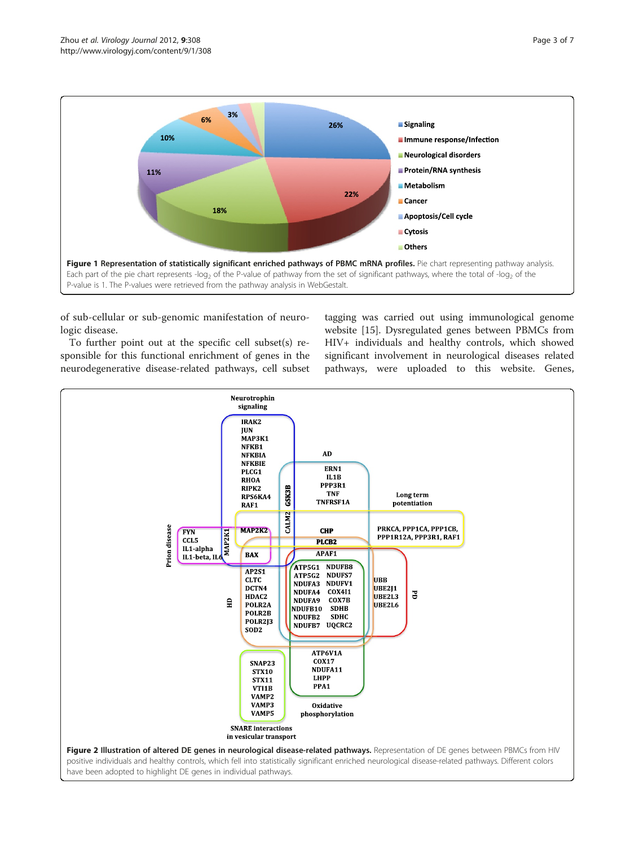<span id="page-2-0"></span>

of sub-cellular or sub-genomic manifestation of neurologic disease.

To further point out at the specific cell subset(s) responsible for this functional enrichment of genes in the neurodegenerative disease-related pathways, cell subset

tagging was carried out using immunological genome website [\[15](#page-6-0)]. Dysregulated genes between PBMCs from HIV+ individuals and healthy controls, which showed significant involvement in neurological diseases related pathways, were uploaded to this website. Genes,

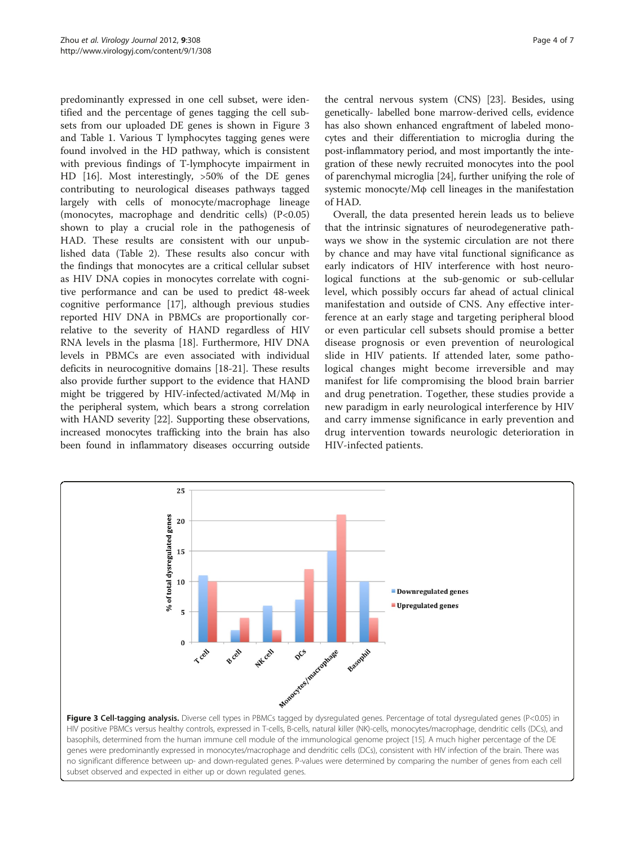predominantly expressed in one cell subset, were identified and the percentage of genes tagging the cell subsets from our uploaded DE genes is shown in Figure 3 and Table [1](#page-4-0). Various T lymphocytes tagging genes were found involved in the HD pathway, which is consistent with previous findings of T-lymphocyte impairment in HD [[16\]](#page-6-0). Most interestingly, >50% of the DE genes contributing to neurological diseases pathways tagged largely with cells of monocyte/macrophage lineage (monocytes, macrophage and dendritic cells) (P<0.05) shown to play a crucial role in the pathogenesis of HAD. These results are consistent with our unpublished data (Table [2\)](#page-5-0). These results also concur with the findings that monocytes are a critical cellular subset as HIV DNA copies in monocytes correlate with cognitive performance and can be used to predict 48-week cognitive performance [[17\]](#page-6-0), although previous studies reported HIV DNA in PBMCs are proportionally correlative to the severity of HAND regardless of HIV RNA levels in the plasma [[18\]](#page-6-0). Furthermore, HIV DNA levels in PBMCs are even associated with individual deficits in neurocognitive domains [[18-21\]](#page-6-0). These results also provide further support to the evidence that HAND might be triggered by HIV-infected/activated M/Mφ in the peripheral system, which bears a strong correlation with HAND severity [\[22\]](#page-6-0). Supporting these observations, increased monocytes trafficking into the brain has also been found in inflammatory diseases occurring outside

the central nervous system (CNS) [[23](#page-6-0)]. Besides, using genetically- labelled bone marrow-derived cells, evidence has also shown enhanced engraftment of labeled monocytes and their differentiation to microglia during the post-inflammatory period, and most importantly the integration of these newly recruited monocytes into the pool of parenchymal microglia [\[24\]](#page-6-0), further unifying the role of systemic monocyte/Mφ cell lineages in the manifestation of HAD.

Overall, the data presented herein leads us to believe that the intrinsic signatures of neurodegenerative pathways we show in the systemic circulation are not there by chance and may have vital functional significance as early indicators of HIV interference with host neurological functions at the sub-genomic or sub-cellular level, which possibly occurs far ahead of actual clinical manifestation and outside of CNS. Any effective interference at an early stage and targeting peripheral blood or even particular cell subsets should promise a better disease prognosis or even prevention of neurological slide in HIV patients. If attended later, some pathological changes might become irreversible and may manifest for life compromising the blood brain barrier and drug penetration. Together, these studies provide a new paradigm in early neurological interference by HIV and carry immense significance in early prevention and drug intervention towards neurologic deterioration in HIV-infected patients.



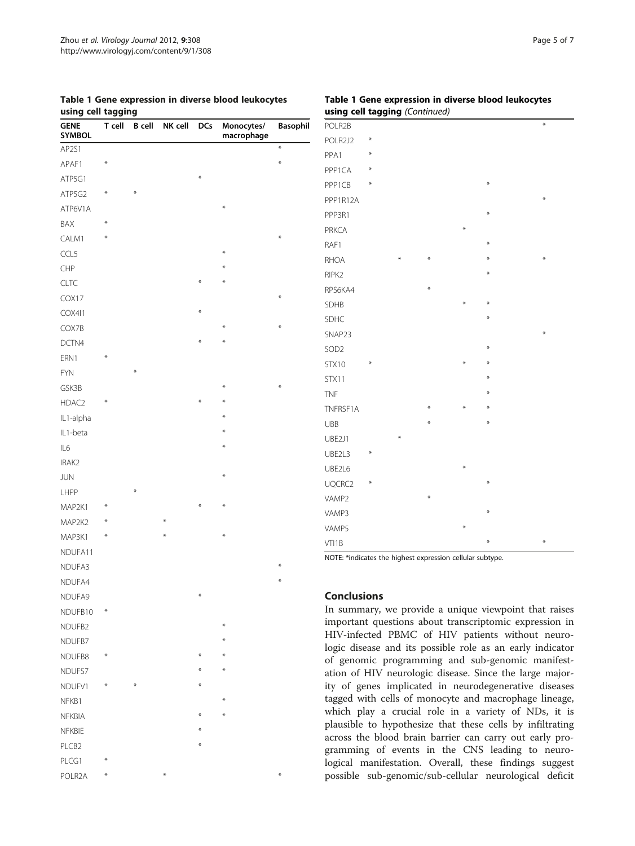<span id="page-4-0"></span>

|                    | Table 1 Gene expression in diverse blood leukocytes |  |  |
|--------------------|-----------------------------------------------------|--|--|
| using cell tagging |                                                     |  |  |

| asing cen tagging     |        |               |         |            |                          |                 |
|-----------------------|--------|---------------|---------|------------|--------------------------|-----------------|
| <b>GENE</b><br>SYMBOL | T cell | <b>B</b> cell | NK cell | <b>DCs</b> | Monocytes/<br>macrophage | <b>Basophil</b> |
| AP2S1                 |        |               |         |            |                          | $\star$         |
| APAF1                 | $\ast$ |               |         |            |                          | $\ast$          |
| ATP5G1                |        |               |         | ₩          |                          |                 |
| ATP5G2                | ₩      | $\ast$        |         |            |                          |                 |
| ATP6V1A               |        |               |         |            | $\ast$                   |                 |
| BAX                   | ₩      |               |         |            |                          |                 |
| CALM1                 | ⋇      |               |         |            |                          | $\ast$          |
| CCL5                  |        |               |         |            | $\ast$                   |                 |
| CHP                   |        |               |         |            | $\ast$                   |                 |
| CLTC                  |        |               |         | $\ast$     | ∗                        |                 |
| COX17                 |        |               |         |            |                          | $\ast$          |
| COX411                |        |               |         | $\ast$     |                          |                 |
| COX7B                 |        |               |         |            | $\ast$                   | $\star$         |
| DCTN4                 |        |               |         | $\star$    | $\ast$                   |                 |
| ERN1                  | ₩      |               |         |            |                          |                 |
| <b>FYN</b>            |        | ⋇             |         |            |                          |                 |
| GSK3B                 |        |               |         |            | $\ast$                   | $\ast$          |
| HDAC2                 | ₩      |               |         | $\ast$     | $\ast$                   |                 |
| IL1-alpha             |        |               |         |            | ∗                        |                 |
| IL1-beta              |        |               |         |            | $\ast$                   |                 |
| IL6                   |        |               |         |            | $\ast$                   |                 |
| IRAK2                 |        |               |         |            |                          |                 |
| <b>JUN</b>            |        |               |         |            | $\ast$                   |                 |
| LHPP                  |        | $\ast$        |         |            |                          |                 |
| MAP2K1                | ⋇      |               |         | ₩          | $\star$                  |                 |
| MAP2K2                | ⋇      |               | ⋇       |            |                          |                 |
| MAP3K1                | ₩      |               | $\ast$  |            | $\ast$                   |                 |
| NDUFA11               |        |               |         |            |                          |                 |
| NDUFA3                |        |               |         |            |                          | $\ast$          |
| NDUFA4                |        |               |         |            |                          | $\star$         |
| NDUFA9                |        |               |         | $\ast$     |                          |                 |
| NDUFB10               | ₩      |               |         |            |                          |                 |
| NDUFB2                |        |               |         |            | $\ast$                   |                 |
| NDUFB7                |        |               |         |            | ∗                        |                 |
| NDUFB8                | ₩      |               |         | ₩          | $\ast$                   |                 |
| NDUFS7                |        |               |         | $*$        | $\ast$                   |                 |
| NDUFV1                | ₩      | ⋇             |         | $\ast$     |                          |                 |
| NFKB1                 |        |               |         |            | $\ast$                   |                 |
| <b>NFKBIA</b>         |        |               |         | $\ast$     | $\ast$                   |                 |
| NFKBIE                |        |               |         | $\ast$     |                          |                 |
| PLCB2                 |        |               |         | $\ast$     |                          |                 |
| PLCG1                 | ₩      |               |         |            |                          |                 |
| POLR2A                | ₩      |               | ⋇       |            |                          | ₩               |

## Table 1 Gene expression in diverse blood leukocytes using cell tagging (Continued)

| ----- <i>-</i>   |        |   |        |        |        |        |
|------------------|--------|---|--------|--------|--------|--------|
| POLR2B           |        |   |        |        |        | $\ast$ |
| POLR2J2          | $\ast$ |   |        |        |        |        |
| PPA1             | $\ast$ |   |        |        |        |        |
| PPP1CA           | ⋇      |   |        |        |        |        |
| PPP1CB           | ⋇      |   |        |        | ⋇      |        |
| PPP1R12A         |        |   |        |        |        | $\ast$ |
| PPP3R1           |        |   |        |        | $\ast$ |        |
| <b>PRKCA</b>     |        |   |        | $\ast$ |        |        |
| RAF1             |        |   |        |        | ⋇      |        |
| <b>RHOA</b>      |        | ₩ | ₩      |        | ⋇      | $\ast$ |
| RIPK2            |        |   |        |        | $\ast$ |        |
| RPS6KA4          |        |   | $\ast$ |        |        |        |
| SDHB             |        |   |        | ⋇      | ⋇      |        |
| SDHC             |        |   |        |        | ⋇      |        |
| SNAP23           |        |   |        |        |        | $\ast$ |
| SOD <sub>2</sub> |        |   |        |        | $\ast$ |        |
| <b>STX10</b>     | $\ast$ |   |        | ⋇      | ⋇      |        |
| STX11            |        |   |        |        | $\ast$ |        |
| <b>TNF</b>       |        |   |        |        | ⋇      |        |
| TNFRSF1A         |        |   | ₩      | ¥      | $\ast$ |        |
| UBB              |        |   | ⋇      |        | ⋇      |        |
| UBE2J1           |        | ₩ |        |        |        |        |
| UBE2L3           | ⋇      |   |        |        |        |        |
| UBE2L6           |        |   |        | ⋇      |        |        |
| UQCRC2           | ⋇      |   |        |        | ⋇      |        |
| VAMP2            |        |   | ₩      |        |        |        |
| VAMP3            |        |   |        |        | ⋇      |        |
| VAMP5            |        |   |        | ⋇      |        |        |
| VTI1B            |        |   |        |        | ₩      | $\ast$ |

NOTE: \*indicates the highest expression cellular subtype.

## **Conclusions**

In summary, we provide a unique viewpoint that raises important questions about transcriptomic expression in HIV-infected PBMC of HIV patients without neurologic disease and its possible role as an early indicator of genomic programming and sub-genomic manifestation of HIV neurologic disease. Since the large majority of genes implicated in neurodegenerative diseases tagged with cells of monocyte and macrophage lineage, which play a crucial role in a variety of NDs, it is plausible to hypothesize that these cells by infiltrating across the blood brain barrier can carry out early programming of events in the CNS leading to neurological manifestation. Overall, these findings suggest possible sub-genomic/sub-cellular neurological deficit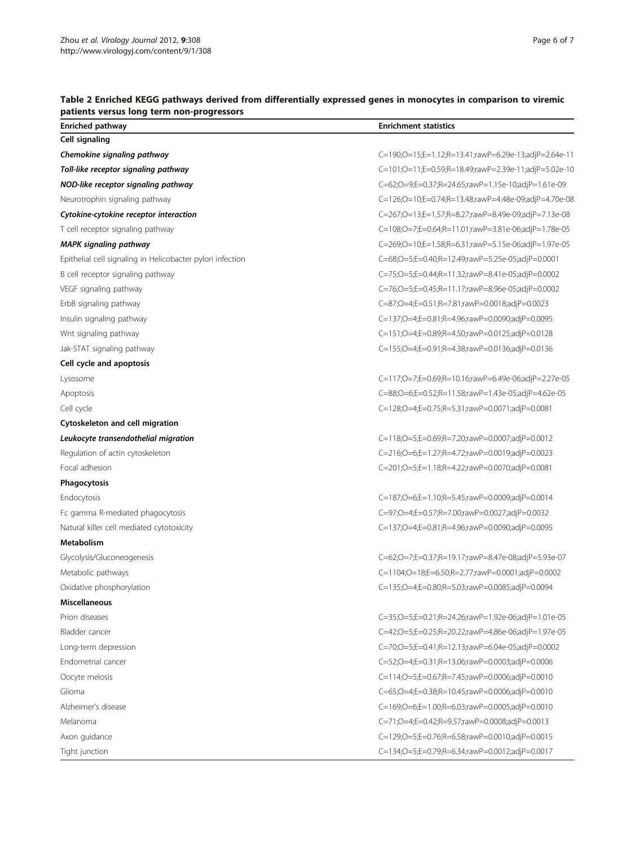| patients versus long term non-progressors                  |                                                       |  |  |  |
|------------------------------------------------------------|-------------------------------------------------------|--|--|--|
| <b>Enriched pathway</b>                                    | <b>Enrichment statistics</b>                          |  |  |  |
| Cell signaling                                             |                                                       |  |  |  |
| Chemokine signaling pathway                                | C=190;O=15;E=1.12;R=13.41;rawP=6.29e-13;adjP=2.64e-11 |  |  |  |
| Toll-like receptor signaling pathway                       | C=101;O=11;E=0.59;R=18.49;rawP=2.39e-11;adjP=5.02e-10 |  |  |  |
| NOD-like receptor signaling pathway                        | C=62;O=9;E=0.37;R=24.65;rawP=1.15e-10;adjP=1.61e-09   |  |  |  |
| Neurotrophin signaling pathway                             | C=126;O=10;E=0.74;R=13.48;rawP=4.48e-09;adjP=4.70e-08 |  |  |  |
| Cytokine-cytokine receptor interaction                     | C=267;O=13;E=1.57;R=8.27;rawP=8.49e-09;adjP=7.13e-08  |  |  |  |
| T cell receptor signaling pathway                          | C=108;O=7;E=0.64;R=11.01;rawP=3.81e-06;adjP=1.78e-05  |  |  |  |
| <b>MAPK signaling pathway</b>                              | C=269;O=10;E=1.58;R=6.31;rawP=5.15e-06;adjP=1.97e-05  |  |  |  |
| Epithelial cell signaling in Helicobacter pylori infection | C=68;O=5;E=0.40;R=12.49;rawP=5.25e-05;adjP=0.0001     |  |  |  |
| B cell receptor signaling pathway                          | C=75;O=5;E=0.44;R=11.32;rawP=8.41e-05;adjP=0.0002     |  |  |  |
| VEGF signaling pathway                                     | C=76;O=5;E=0.45;R=11.17;rawP=8.96e-05;adjP=0.0002     |  |  |  |
| ErbB signaling pathway                                     | C=87;O=4;E=0.51;R=7.81;rawP=0.0018;adjP=0.0023        |  |  |  |
| Insulin signaling pathway                                  | C=137;O=4;E=0.81;R=4.96;rawP=0.0090;adjP=0.0095       |  |  |  |
| Wnt signaling pathway                                      | C=151;O=4;E=0.89;R=4.50;rawP=0.0125;adjP=0.0128       |  |  |  |
| Jak-STAT signaling pathway                                 | C=155;O=4;E=0.91;R=4.38;rawP=0.0136;adjP=0.0136       |  |  |  |
| Cell cycle and apoptosis                                   |                                                       |  |  |  |
| Lysosome                                                   | C=117;O=7;E=0.69;R=10.16;rawP=6.49e-06;adjP=2.27e-05  |  |  |  |
| Apoptosis                                                  | C=88;O=6;E=0.52;R=11.58;rawP=1.43e-05;adjP=4.62e-05   |  |  |  |
| Cell cycle                                                 | C=128;O=4;E=0.75;R=5.31;rawP=0.0071;adjP=0.0081       |  |  |  |
| Cytoskeleton and cell migration                            |                                                       |  |  |  |
| Leukocyte transendothelial migration                       | C=118;O=5;E=0.69;R=7.20;rawP=0.0007;adjP=0.0012       |  |  |  |
| Regulation of actin cytoskeleton                           | C=216;O=6;E=1.27;R=4.72;rawP=0.0019;adjP=0.0023       |  |  |  |
| Focal adhesion                                             | C=201;O=5;E=1.18;R=4.22;rawP=0.0070;adjP=0.0081       |  |  |  |
| Phagocytosis                                               |                                                       |  |  |  |
| Endocytosis                                                | C=187;O=6;E=1.10;R=5.45;rawP=0.0009;adjP=0.0014       |  |  |  |
| Fc gamma R-mediated phagocytosis                           | C=97;O=4;E=0.57;R=7.00;rawP=0.0027;adjP=0.0032        |  |  |  |
| Natural killer cell mediated cytotoxicity                  | C=137;O=4;E=0.81;R=4.96;rawP=0.0090;adjP=0.0095       |  |  |  |
| <b>Metabolism</b>                                          |                                                       |  |  |  |
| Glycolysis/Gluconeogenesis                                 | C=62;O=7;E=0.37;R=19.17;rawP=8.47e-08;adjP=5.93e-07   |  |  |  |
| Metabolic pathways                                         | C=1104;O=18;E=6.50;R=2.77;rawP=0.0001;adjP=0.0002     |  |  |  |
| Oxidative phosphorylation                                  | C=135;O=4;E=0.80;R=5.03;rawP=0.0085;adjP=0.0094       |  |  |  |
| <b>Miscellaneous</b>                                       |                                                       |  |  |  |
| Prion diseases                                             | C=35;O=5;E=0.21;R=24.26;rawP=1.92e-06;adjP=1.01e-05   |  |  |  |
| Bladder cancer                                             | C=42;O=5;E=0.25;R=20.22;rawP=4.86e-06;adjP=1.97e-05   |  |  |  |
| Long-term depression                                       | C=70;O=5;E=0.41;R=12.13;rawP=6.04e-05;adjP=0.0002     |  |  |  |
| Endometrial cancer                                         | C=52;O=4;E=0.31;R=13.06;rawP=0.0003;adjP=0.0006       |  |  |  |
| Oocyte meiosis                                             | C=114;O=5;E=0.67;R=7.45;rawP=0.0006;adjP=0.0010       |  |  |  |
| Glioma                                                     | C=65;O=4;E=0.38;R=10.45;rawP=0.0006;adjP=0.0010       |  |  |  |
| Alzheimer's disease                                        | C=169;O=6;E=1.00;R=6.03;rawP=0.0005;adjP=0.0010       |  |  |  |
| Melanoma                                                   | C=71;O=4;E=0.42;R=9.57;rawP=0.0008;adjP=0.0013        |  |  |  |
| Axon guidance                                              | C=129;O=5;E=0.76;R=6.58;rawP=0.0010;adjP=0.0015       |  |  |  |
| Tight junction                                             | C=134;O=5;E=0.79;R=6.34;rawP=0.0012;adjP=0.0017       |  |  |  |

## <span id="page-5-0"></span>Table 2 Enriched KEGG pathways derived from differentially expressed genes in monocytes in comparison to viremic<br>notionts usesue lang term non-processes patients versus long te